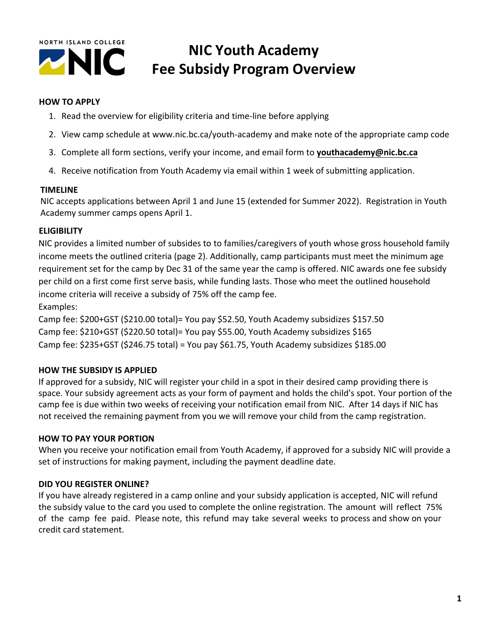

## **NIC Youth Academy Fee Subsidy Program Overview**

#### **HOW TO APPLY**

- 1. Read the overview for eligibility criteria and time-line before applying
- 2. View camp schedule at www.nic.bc.ca/youth-academy and make note of the appropriate camp code
- 3. Complete all form sections, verify your income, and email form to **youthacademy@nic.bc.ca**
- 4. Receive notification from Youth Academy via email within 1 week of submitting application.

#### **TIMELINE**

NIC accepts applications between April 1 and June 15 (extended for Summer 2022). Registration in Youth Academy summer camps opens April 1.

### **ELIGIBILITY**

NIC provides a limited number of subsides to to families/caregivers of youth whose gross household family income meets the outlined criteria (page 2). Additionally, camp participants must meet the minimum age requirement set for the camp by Dec 31 of the same year the camp is offered. NIC awards one fee subsidy per child on a first come first serve basis, while funding lasts. Those who meet the outlined household income criteria will receive a subsidy of 75% off the camp fee. Examples:

Camp fee: \$200+GST (\$210.00 total)= You pay \$52.50, Youth Academy subsidizes \$157.50 Camp fee: \$210+GST (\$220.50 total)= You pay \$55.00, Youth Academy subsidizes \$165 Camp fee: \$235+GST (\$246.75 total) = You pay \$61.75, Youth Academy subsidizes \$185.00

### **HOW THE SUBSIDY IS APPLIED**

If approved for a subsidy, NIC will register your child in a spot in their desired camp providing there is space. Your subsidy agreement acts as your form of payment and holds the child's spot. Your portion of the camp fee is due within two weeks of receiving your notification email from NIC. After 14 days if NIC has not received the remaining payment from you we will remove your child from the camp registration.

### **HOW TO PAY YOUR PORTION**

When you receive your notification email from Youth Academy, if approved for a subsidy NIC will provide a set of instructions for making payment, including the payment deadline date.

### **DID YOU REGISTER ONLINE?**

If you have already registered in a camp online and your subsidy application is accepted, NIC will refund the subsidy value to the card you used to complete the online registration. The amount will reflect 75% of the camp fee paid. Please note, this refund may take several weeks to process and show on your credit card statement.